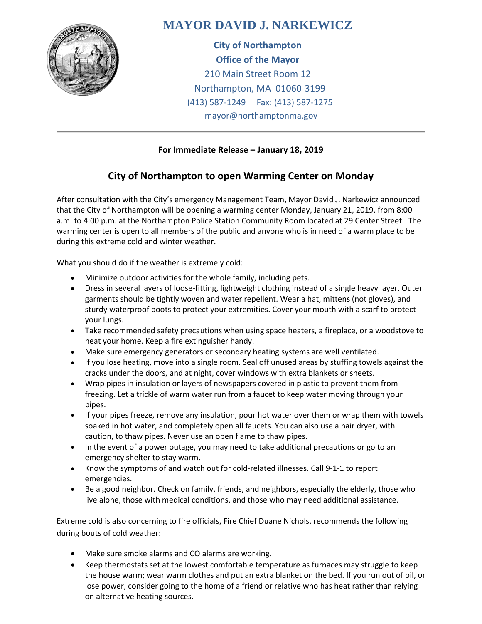

## **MAYOR DAVID J. NARKEWICZ**

**City of Northampton Office of the Mayor** 210 Main Street Room 12 Northampton, MA 01060-3199 (413) 587-1249 Fax: (413) 587-1275 mayor@northamptonma.gov

## **For Immediate Release – January 18, 2019**

## **City of Northampton to open Warming Center on Monday**

After consultation with the City's emergency Management Team, Mayor David J. Narkewicz announced that the City of Northampton will be opening a warming center Monday, January 21, 2019, from 8:00 a.m. to 4:00 p.m. at the Northampton Police Station Community Room located at 29 Center Street. The warming center is open to all members of the public and anyone who is in need of a warm place to be during this extreme cold and winter weather.

What you should do if the weather is extremely cold:

- Minimize outdoor activities for the whole family, including [pets.](http://www.mass.gov/eopss/agencies/mema/emergencies/cold/pets.html)
- Dress in several layers of loose-fitting, lightweight clothing instead of a single heavy layer. Outer garments should be tightly woven and water repellent. Wear a hat, mittens (not gloves), and sturdy waterproof boots to protect your extremities. Cover your mouth with a scarf to protect your lungs.
- Take recommended safety precautions when using space heaters, a fireplace, or a woodstove to heat your home. Keep a fire extinguisher handy.
- Make sure emergency generators or secondary heating systems are well ventilated.
- If you lose heating, move into a single room. Seal off unused areas by stuffing towels against the cracks under the doors, and at night, cover windows with extra blankets or sheets.
- Wrap pipes in insulation or layers of newspapers covered in plastic to prevent them from freezing. Let a trickle of warm water run from a faucet to keep water moving through your pipes.
- If your pipes freeze, remove any insulation, pour hot water over them or wrap them with towels soaked in hot water, and completely open all faucets. You can also use a hair dryer, with caution, to thaw pipes. Never use an open flame to thaw pipes.
- In the event of a [power outage,](http://www.mass.gov/eopss/agencies/mema/emergencies/power-outage/) you may need to take additional precautions or go to an emergency shelter to stay warm.
- Know the symptoms of and watch out for cold-related illnesses. Call 9-1-1 to report emergencies.
- Be a good neighbor. Check on family, friends, and neighbors, especially the elderly, those who live alone, those with medical conditions, and those who may need additional assistance.

Extreme cold is also concerning to fire officials, Fire Chief Duane Nichols, recommends the following during bouts of cold weather:

- Make sure smoke alarms and CO alarms are working.
- Keep thermostats set at the lowest comfortable temperature as furnaces may struggle to keep the house warm; wear warm clothes and put an extra blanket on the bed. If you run out of oil, or lose power, consider going to the home of a friend or relative who has heat rather than relying on alternative heating sources.